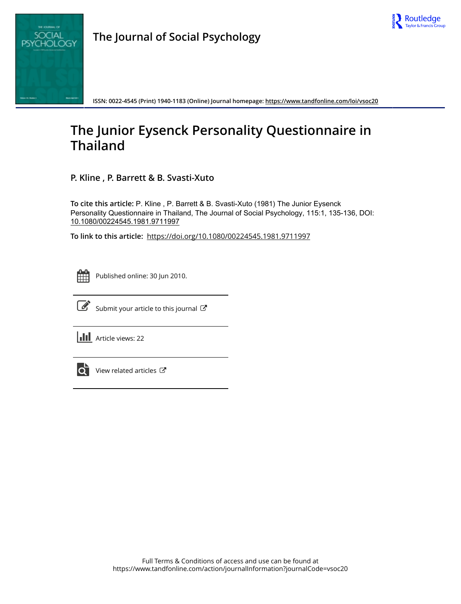

**ISSN: 0022-4545 (Print) 1940-1183 (Online) Journal homepage:<https://www.tandfonline.com/loi/vsoc20>**

## **The Junior Eysenck Personality Questionnaire in Thailand**

**P. Kline , P. Barrett & B. Svasti-Xuto**

**To cite this article:** P. Kline , P. Barrett & B. Svasti-Xuto (1981) The Junior Eysenck Personality Questionnaire in Thailand, The Journal of Social Psychology, 115:1, 135-136, DOI: [10.1080/00224545.1981.9711997](https://www.tandfonline.com/action/showCitFormats?doi=10.1080/00224545.1981.9711997)

**To link to this article:** <https://doi.org/10.1080/00224545.1981.9711997>



Published online: 30 Jun 2010.



 $\overrightarrow{S}$  [Submit your article to this journal](https://www.tandfonline.com/action/authorSubmission?journalCode=vsoc20&show=instructions)  $\overrightarrow{S}$ 

**III** Article views: 22



[View related articles](https://www.tandfonline.com/doi/mlt/10.1080/00224545.1981.9711997)  $\mathbb{Z}$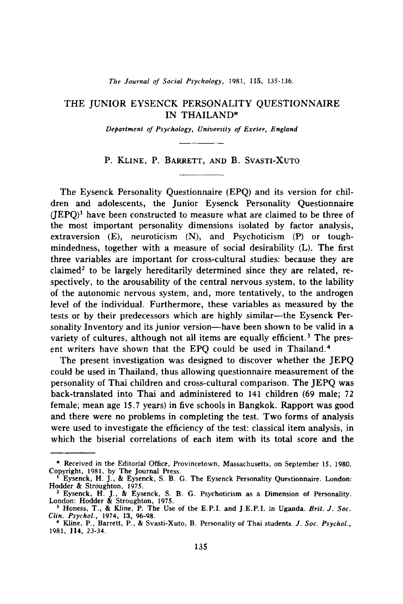*The Journal of Social Psychology,* 1981, 115, 135-136.

## THE JUNIOR EYSENCK PERSONALITY QUESTIONNAIRE IN THAILAND\*

*Department of Psychology, University of Exeter, England*

## P. KLINE, P. BARRETT, AND B. SVASTI-XUTO

The Eysenck Personality Questionnaire (EPQ) and its version for children and adolescents, the Junior Eysenck Personality Questionnaire  $(IEPO)^1$  have been constructed to measure what are claimed to be three of the most important personality dimensions isolated by factor analysis, extraversion  $(E)$ , neuroticism  $(N)$ , and Psychoticism  $(P)$  or toughmindedness, together with a measure of social desirability (L). The first three variables are important for cross-cultural studies: because they are claimed<sup>2</sup> to be largely hereditarily determined since they are related, respectively, to the arousability of the central nervous system, to the lability of the autonomic nervous system, and, more tentatively, to the androgen level of the individual. Furthermore, these variables as measured by the tests or by their predecessors which are highly similar-the Eysenck Personality Inventory and its junior version-have been shown to be valid in a variety of cultures, although not all items are equally efficient.<sup>3</sup> The present writers have shown that the EPQ could be used in Thailand. <sup>4</sup>

The present investigation was designed to discover whether the JEPQ could be used in Thailand, thus allowing questionnaire measurement of the personality of Thai children and cross-cultural comparison. The JEPQ was back-translated into Thai and administered to 141 children (69 male; 72 female; mean age 15.7 years) in five schools in Bangkok. Rapport was good and there were no problems in completing the test. Two forms of analysis were used to investigate the efficiency of the test: classical item analysis, in which the biserial correlations of each item with its total score and the

<sup>\*</sup> Received in the Editorial Office, Provincetown, Massachusetts, on September 15, 1980. Copyright, 1981, by The Journal Press. <sup>I</sup> Eysenck, H. J., & Eysenck, S. B. G. The Eysenck Personality Questionnaire. London:

Hodder & Stroughton, 1975.

<sup>&</sup>lt;sup>2</sup> Eysenck, H. J., & Eysenck, S. B. G. Psychoticism as a Dimension of Personality.<br>London: Hodder & Stroughton, 1975.

<sup>1</sup> Honess, T., & Kline, P. The Use of the E.P.l. and ],E.P.l. in Uganda. *Brit.* J. *Soc.* cum. Psychol., 1974, 13, 96-98.<br>
<sup>4</sup> Kline, P., Barrett, P., & Svasti-Xuto, B. Personality of Thai students. *J. Soc. Psychol.*,

<sup>1981,</sup> 114, 23-34.